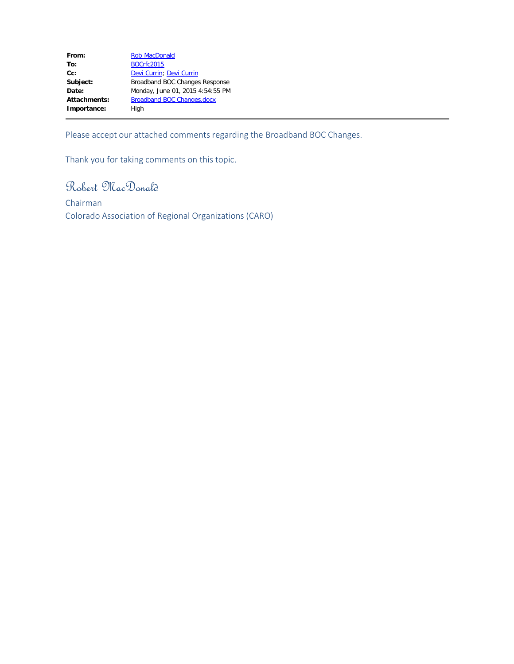| From:        | <b>Rob MacDonald</b>              |
|--------------|-----------------------------------|
| To:          | <b>BOCrfc2015</b>                 |
| $Cc$ :       | Devi Currin; Devi Currin          |
| Subject:     | Broadband BOC Changes Response    |
| Date:        | Monday, June 01, 2015 4:54:55 PM  |
| Attachments: | <b>Broadband BOC Changes.docx</b> |
| Importance:  | High                              |

Please accept our attached comments regarding the Broadband BOC Changes.

Thank you for taking comments on this topic.

Robert MacDonald

Chairman Colorado Association of Regional Organizations (CARO)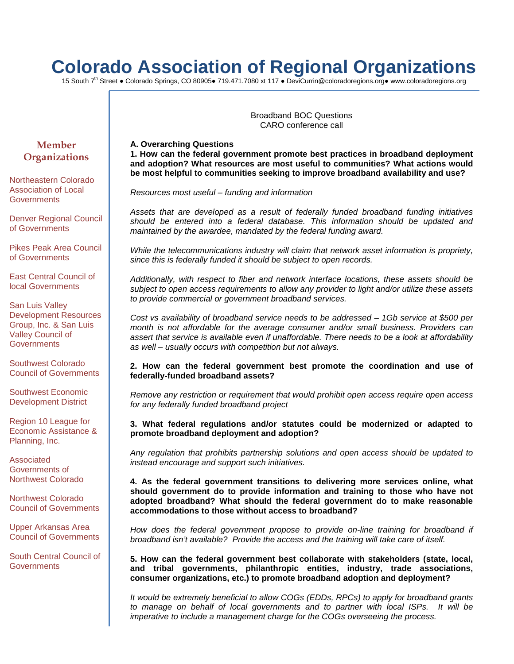# **Colorado Association of Regional Organizations**

15 South 7th Street ● Colorado Springs, CO 80905● 719.471.7080 xt 117 ● DeviCurrin@coloradoregions.org● www.coloradoregions.org

Broadband BOC Questions CARO conference call

**A. Overarching Questions 1. How can the federal government promote best practices in broadband deployment and adoption? What resources are most useful to communities? What actions would be most helpful to communities seeking to improve broadband availability and use?**

*Resources most useful – funding and information*

*Assets that are developed as a result of federally funded broadband funding initiatives should be entered into a federal database. This information should be updated and maintained by the awardee, mandated by the federal funding award.*

*While the telecommunications industry will claim that network asset information is propriety, since this is federally funded it should be subject to open records.*

*Additionally, with respect to fiber and network interface locations, these assets should be subject to open access requirements to allow any provider to light and/or utilize these assets to provide commercial or government broadband services.*

*Cost vs availability of broadband service needs to be addressed – 1Gb service at \$500 per month is not affordable for the average consumer and/or small business. Providers can assert that service is available even if unaffordable. There needs to be a look at affordability as well – usually occurs with competition but not always.* 

# **2. How can the federal government best promote the coordination and use of federally-funded broadband assets?**

*Remove any restriction or requirement that would prohibit open access require open access for any federally funded broadband project*

# **3. What federal regulations and/or statutes could be modernized or adapted to promote broadband deployment and adoption?**

*Any regulation that prohibits partnership solutions and open access should be updated to instead encourage and support such initiatives.*

**4. As the federal government transitions to delivering more services online, what should government do to provide information and training to those who have not adopted broadband? What should the federal government do to make reasonable accommodations to those without access to broadband?**

How does the federal government propose to provide on-line training for broadband if *broadband isn't available? Provide the access and the training will take care of itself.*

**5. How can the federal government best collaborate with stakeholders (state, local, and tribal governments, philanthropic entities, industry, trade associations, consumer organizations, etc.) to promote broadband adoption and deployment?**

*It would be extremely beneficial to allow COGs (EDDs, RPCs) to apply for broadband grants*  to manage on behalf of local governments and to partner with local ISPs. It will be *imperative to include a management charge for the COGs overseeing the process.* 

# **Member Organizations**

Northeastern Colorado Association of Local **Governments** 

Denver Regional Council of Governments

Pikes Peak Area Council of Governments

East Central Council of local Governments

San Luis Valley Development Resources Group, Inc. & San Luis Valley Council of **Governments** 

Southwest Colorado Council of Governments

Southwest Economic Development District

Region 10 League for Economic Assistance & Planning, Inc.

Associated Governments of Northwest Colorado

Northwest Colorado Council of Governments

Upper Arkansas Area Council of Governments

South Central Council of **Governments**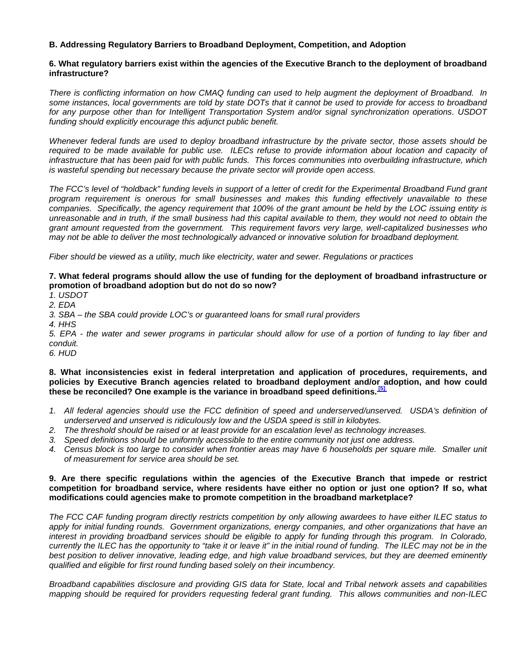# **B. Addressing Regulatory Barriers to Broadband Deployment, Competition, and Adoption**

# **6. What regulatory barriers exist within the agencies of the Executive Branch to the deployment of broadband infrastructure?**

*There is conflicting information on how CMAQ funding can used to help augment the deployment of Broadband. In some instances, local governments are told by state DOTs that it cannot be used to provide for access to broadband for any purpose other than for Intelligent Transportation System and/or signal synchronization operations. USDOT funding should explicitly encourage this adjunct public benefit.*

*Whenever federal funds are used to deploy broadband infrastructure by the private sector, those assets should be*  required to be made available for public use. ILECs refuse to provide information about location and capacity of *infrastructure that has been paid for with public funds. This forces communities into overbuilding infrastructure, which is wasteful spending but necessary because the private sector will provide open access.*

*The FCC's level of "holdback" funding levels in support of a letter of credit for the Experimental Broadband Fund grant program requirement is onerous for small businesses and makes this funding effectively unavailable to these companies. Specifically, the agency requirement that 100% of the grant amount be held by the LOC issuing entity is unreasonable and in truth, if the small business had this capital available to them, they would not need to obtain the grant amount requested from the government. This requirement favors very large, well-capitalized businesses who may not be able to deliver the most technologically advanced or innovative solution for broadband deployment.*

*Fiber should be viewed as a utility, much like electricity, water and sewer. Regulations or practices*

# **7. What federal programs should allow the use of funding for the deployment of broadband infrastructure or promotion of broadband adoption but do not do so now?**

*1. USDOT*

*2. EDA*

*3. SBA – the SBA could provide LOC's or guaranteed loans for small rural providers*

*4. HHS*

*5. EPA - the water and sewer programs in particular should allow for use of a portion of funding to lay fiber and conduit.*

*6. HUD*

# **8. What inconsistencies exist in federal interpretation and application of procedures, requirements, and policies by Executive Branch agencies related to broadband deployment and/or adoption, and how could these be reconciled? One example is the variance in broadband speed definitions. [\[5\]](https://www.federalregister.gov/articles/2015/04/29/2015-09996/broadband-opportunity-council-notice-and-request-for-comment#footnote-5)**

- 1. All federal agencies should use the FCC definition of speed and underserved/unserved. USDA's definition of *underserved and unserved is ridiculously low and the USDA speed is still in kilobytes.*
- *2. The threshold should be raised or at least provide for an escalation level as technology increases.*
- *3. Speed definitions should be uniformly accessible to the entire community not just one address.*
- *4. Census block is too large to consider when frontier areas may have 6 households per square mile. Smaller unit of measurement for service area should be set.*

# **9. Are there specific regulations within the agencies of the Executive Branch that impede or restrict competition for broadband service, where residents have either no option or just one option? If so, what modifications could agencies make to promote competition in the broadband marketplace?**

*The FCC CAF funding program directly restricts competition by only allowing awardees to have either ILEC status to apply for initial funding rounds. Government organizations, energy companies, and other organizations that have an*  interest in providing broadband services should be eligible to apply for funding through this program. In Colorado, currently the ILEC has the opportunity to "take it or leave it" in the initial round of funding. The ILEC may not be in the *best position to deliver innovative, leading edge, and high value broadband services, but they are deemed eminently qualified and eligible for first round funding based solely on their incumbency.*

*Broadband capabilities disclosure and providing GIS data for State, local and Tribal network assets and capabilities mapping should be required for providers requesting federal grant funding. This allows communities and non-ILEC*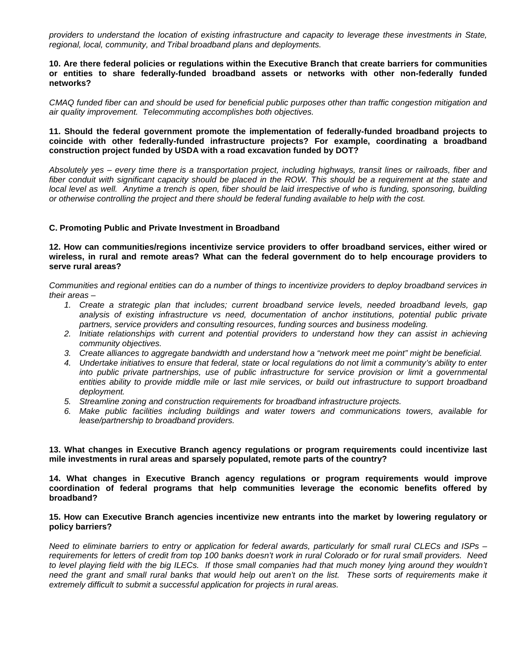*providers to understand the location of existing infrastructure and capacity to leverage these investments in State, regional, local, community, and Tribal broadband plans and deployments.*

# **10. Are there federal policies or regulations within the Executive Branch that create barriers for communities or entities to share federally-funded broadband assets or networks with other non-federally funded networks?**

*CMAQ funded fiber can and should be used for beneficial public purposes other than traffic congestion mitigation and air quality improvement. Telecommuting accomplishes both objectives.*

# **11. Should the federal government promote the implementation of federally-funded broadband projects to coincide with other federally-funded infrastructure projects? For example, coordinating a broadband construction project funded by USDA with a road excavation funded by DOT?**

*Absolutely yes – every time there is a transportation project, including highways, transit lines or railroads, fiber and*  fiber conduit with significant capacity should be placed in the ROW. This should be a requirement at the state and *local level as well. Anytime a trench is open, fiber should be laid irrespective of who is funding, sponsoring, building or otherwise controlling the project and there should be federal funding available to help with the cost.*

# **C. Promoting Public and Private Investment in Broadband**

**12. How can communities/regions incentivize service providers to offer broadband services, either wired or wireless, in rural and remote areas? What can the federal government do to help encourage providers to serve rural areas?**

*Communities and regional entities can do a number of things to incentivize providers to deploy broadband services in their areas –*

- *1. Create a strategic plan that includes; current broadband service levels, needed broadband levels, gap analysis of existing infrastructure vs need, documentation of anchor institutions, potential public private partners, service providers and consulting resources, funding sources and business modeling.*
- *2. Initiate relationships with current and potential providers to understand how they can assist in achieving community objectives.*
- *3. Create alliances to aggregate bandwidth and understand how a "network meet me point" might be beneficial.*
- *4. Undertake initiatives to ensure that federal, state or local regulations do not limit a community's ability to enter into public private partnerships, use of public infrastructure for service provision or limit a governmental entities ability to provide middle mile or last mile services, or build out infrastructure to support broadband deployment.*
- *5. Streamline zoning and construction requirements for broadband infrastructure projects.*
- *6. Make public facilities including buildings and water towers and communications towers, available for lease/partnership to broadband providers.*

**13. What changes in Executive Branch agency regulations or program requirements could incentivize last mile investments in rural areas and sparsely populated, remote parts of the country?**

**14. What changes in Executive Branch agency regulations or program requirements would improve coordination of federal programs that help communities leverage the economic benefits offered by broadband?**

#### **15. How can Executive Branch agencies incentivize new entrants into the market by lowering regulatory or policy barriers?**

*Need to eliminate barriers to entry or application for federal awards, particularly for small rural CLECs and ISPs – requirements for letters of credit from top 100 banks doesn't work in rural Colorado or for rural small providers. Need*  to level playing field with the big ILECs. If those small companies had that much money lying around they wouldn't need the grant and small rural banks that would help out aren't on the list. These sorts of requirements make it *extremely difficult to submit a successful application for projects in rural areas.*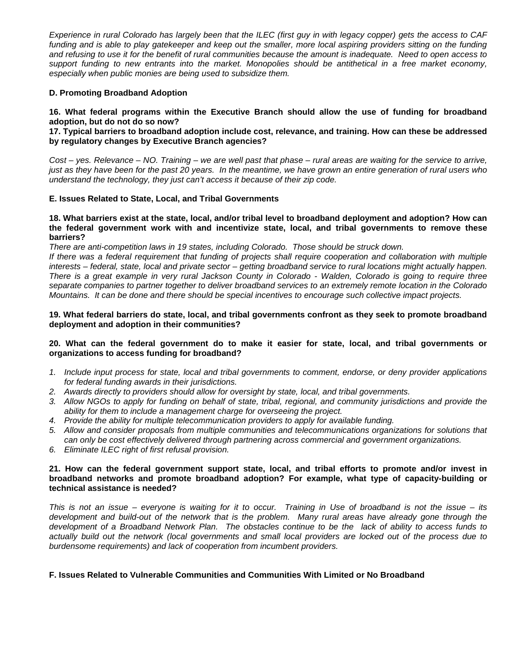*Experience in rural Colorado has largely been that the ILEC (first guy in with legacy copper) gets the access to CAF*  funding and is able to play gatekeeper and keep out the smaller, more local aspiring providers sitting on the funding *and refusing to use it for the benefit of rural communities because the amount is inadequate. Need to open access to support funding to new entrants into the market. Monopolies should be antithetical in a free market economy, especially when public monies are being used to subsidize them.*

# **D. Promoting Broadband Adoption**

**16. What federal programs within the Executive Branch should allow the use of funding for broadband adoption, but do not do so now?**

**17. Typical barriers to broadband adoption include cost, relevance, and training. How can these be addressed by regulatory changes by Executive Branch agencies?**

*Cost – yes. Relevance – NO. Training – we are well past that phase – rural areas are waiting for the service to arrive, just as they have been for the past 20 years. In the meantime, we have grown an entire generation of rural users who understand the technology, they just can't access it because of their zip code.*

# **E. Issues Related to State, Local, and Tribal Governments**

#### **18. What barriers exist at the state, local, and/or tribal level to broadband deployment and adoption? How can the federal government work with and incentivize state, local, and tribal governments to remove these barriers?**

*There are anti-competition laws in 19 states, including Colorado. Those should be struck down.* 

*If there was a federal requirement that funding of projects shall require cooperation and collaboration with multiple interests – federal, state, local and private sector – getting broadband service to rural locations might actually happen. There is a great example in very rural Jackson County in Colorado - Walden, Colorado is going to require three separate companies to partner together to deliver broadband services to an extremely remote location in the Colorado Mountains. It can be done and there should be special incentives to encourage such collective impact projects.* 

# **19. What federal barriers do state, local, and tribal governments confront as they seek to promote broadband deployment and adoption in their communities?**

# **20. What can the federal government do to make it easier for state, local, and tribal governments or organizations to access funding for broadband?**

- *1. Include input process for state, local and tribal governments to comment, endorse, or deny provider applications for federal funding awards in their jurisdictions.*
- *2. Awards directly to providers should allow for oversight by state, local, and tribal governments.*
- *3. Allow NGOs to apply for funding on behalf of state, tribal, regional, and community jurisdictions and provide the ability for them to include a management charge for overseeing the project.*
- *4. Provide the ability for multiple telecommunication providers to apply for available funding.*
- *5. Allow and consider proposals from multiple communities and telecommunications organizations for solutions that can only be cost effectively delivered through partnering across commercial and government organizations.*
- *6. Eliminate ILEC right of first refusal provision.*

# **21. How can the federal government support state, local, and tribal efforts to promote and/or invest in broadband networks and promote broadband adoption? For example, what type of capacity-building or technical assistance is needed?**

*This is not an issue – everyone is waiting for it to occur. Training in Use of broadband is not the issue – its development and build-out of the network that is the problem. Many rural areas have already gone through the*  development of a Broadband Network Plan. The obstacles continue to be the lack of ability to access funds to *actually build out the network (local governments and small local providers are locked out of the process due to burdensome requirements) and lack of cooperation from incumbent providers.*

# **F. Issues Related to Vulnerable Communities and Communities With Limited or No Broadband**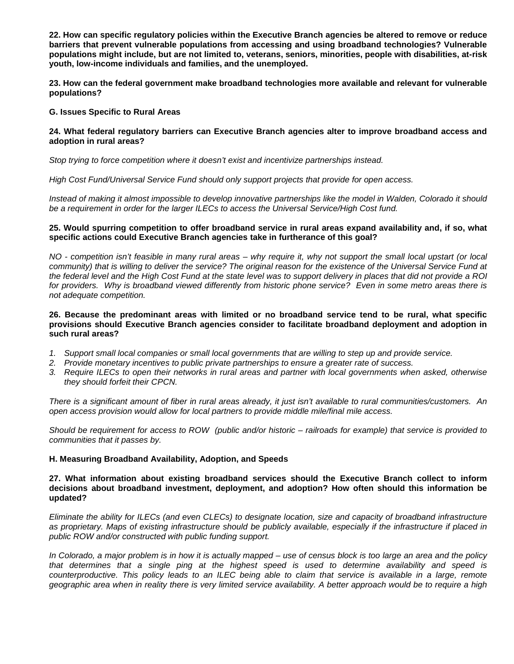**22. How can specific regulatory policies within the Executive Branch agencies be altered to remove or reduce barriers that prevent vulnerable populations from accessing and using broadband technologies? Vulnerable populations might include, but are not limited to, veterans, seniors, minorities, people with disabilities, at-risk youth, low-income individuals and families, and the unemployed.**

**23. How can the federal government make broadband technologies more available and relevant for vulnerable populations?**

### **G. Issues Specific to Rural Areas**

# **24. What federal regulatory barriers can Executive Branch agencies alter to improve broadband access and adoption in rural areas?**

*Stop trying to force competition where it doesn't exist and incentivize partnerships instead.*

*High Cost Fund/Universal Service Fund should only support projects that provide for open access.* 

Instead of making it almost impossible to develop innovative partnerships like the model in Walden, Colorado it should *be a requirement in order for the larger ILECs to access the Universal Service/High Cost fund.* 

### **25. Would spurring competition to offer broadband service in rural areas expand availability and, if so, what specific actions could Executive Branch agencies take in furtherance of this goal?**

*NO - competition isn't feasible in many rural areas – why require it, why not support the small local upstart (or local community) that is willing to deliver the service? The original reason for the existence of the Universal Service Fund at the federal level and the High Cost Fund at the state level was to support delivery in places that did not provide a ROI for providers. Why is broadband viewed differently from historic phone service? Even in some metro areas there is not adequate competition.*

## **26. Because the predominant areas with limited or no broadband service tend to be rural, what specific provisions should Executive Branch agencies consider to facilitate broadband deployment and adoption in such rural areas?**

- 1. Support small local companies or small local governments that are willing to step up and provide service.
- *2. Provide monetary incentives to public private partnerships to ensure a greater rate of success.*
- *3. Require ILECs to open their networks in rural areas and partner with local governments when asked, otherwise they should forfeit their CPCN.*

*There is a significant amount of fiber in rural areas already, it just isn't available to rural communities/customers. An open access provision would allow for local partners to provide middle mile/final mile access.*

*Should be requirement for access to ROW (public and/or historic – railroads for example) that service is provided to communities that it passes by.*

# **H. Measuring Broadband Availability, Adoption, and Speeds**

#### **27. What information about existing broadband services should the Executive Branch collect to inform decisions about broadband investment, deployment, and adoption? How often should this information be updated?**

*Eliminate the ability for ILECs (and even CLECs) to designate location, size and capacity of broadband infrastructure as proprietary. Maps of existing infrastructure should be publicly available, especially if the infrastructure if placed in public ROW and/or constructed with public funding support.*

*In Colorado, a major problem is in how it is actually mapped – use of census block is too large an area and the policy that determines that a single ping at the highest speed is used to determine availability and speed is*  counterproductive. This policy leads to an ILEC being able to claim that service is available in a large, remote *geographic area when in reality there is very limited service availability. A better approach would be to require a high*